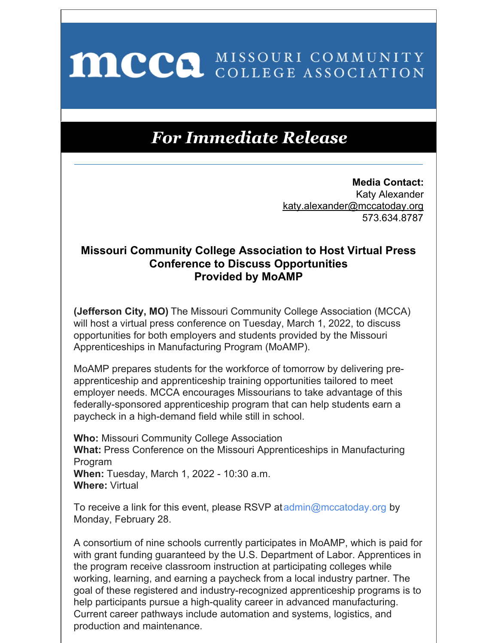## MCCO MISSOURI COMMUNITY

## **For Immediate Release**

**Media Contact:** Katy Alexander katy.alexander@mccatoday.org 573.634.8787

## **Missouri Community College Association to Host Virtual Press Conference to Discuss Opportunities Provided by MoAMP**

**(Jefferson City, MO)** The Missouri Community College Association (MCCA) will host a virtual press conference on Tuesday, March 1, 2022, to discuss opportunities for both employers and students provided by the Missouri Apprenticeships in Manufacturing Program (MoAMP).

MoAMP prepares students for the workforce of tomorrow by delivering preapprenticeship and apprenticeship training opportunities tailored to meet employer needs. MCCA encourages Missourians to take advantage of this federally-sponsored apprenticeship program that can help students earn a paycheck in a high-demand field while still in school.

**Who:** Missouri Community College Association **What:** Press Conference on the Missouri Apprenticeships in Manufacturing Program **When:** Tuesday, March 1, 2022 - 10:30 a.m. **Where:** Virtual

To receive a link for this event, please RSVP at [admin@mccatoday.org](mailto:admin@mccatoday.org) by Monday, February 28.

A consortium of nine schools currently participates in MoAMP, which is paid for with grant funding guaranteed by the U.S. Department of Labor. Apprentices in the program receive classroom instruction at participating colleges while working, learning, and earning a paycheck from a local industry partner. The goal of these registered and industry-recognized apprenticeship programs is to help participants pursue a high-quality career in advanced manufacturing. Current career pathways include automation and systems, logistics, and production and maintenance.